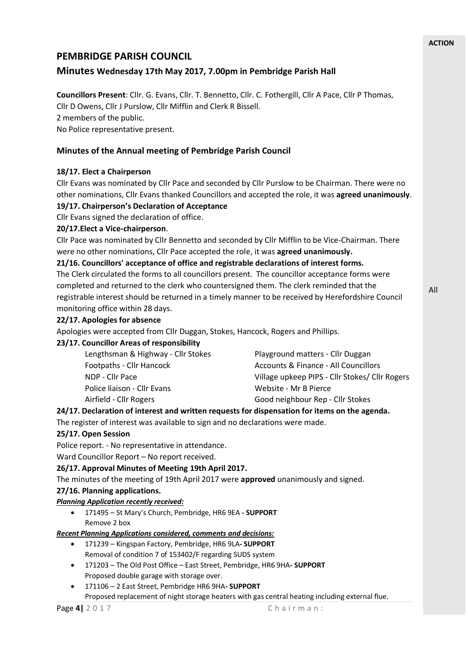### **ACTION**

All

# **PEMBRIDGE PARISH COUNCIL**

# **Minutes Wednesday 17th May 2017, 7.00pm in Pembridge Parish Hall**

**Councillors Present**: Cllr. G. Evans, Cllr. T. Bennetto, Cllr. C. Fothergill, Cllr A Pace, Cllr P Thomas, Cllr D Owens, Cllr J Purslow, Cllr Mifflin and Clerk R Bissell. 2 members of the public. No Police representative present.

## **Minutes of the Annual meeting of Pembridge Parish Council**

## **18/17. Elect a Chairperson**

Cllr Evans was nominated by Cllr Pace and seconded by Cllr Purslow to be Chairman. There were no other nominations, Cllr Evans thanked Councillors and accepted the role, it was **agreed unanimously**.

**19/17. Chairperson's Declaration of Acceptance** 

Cllr Evans signed the declaration of office.

### **20/17.Elect a Vice-chairperson**.

Cllr Pace was nominated by Cllr Bennetto and seconded by Cllr Mifflin to be Vice-Chairman. There were no other nominations, Cllr Pace accepted the role, it was **agreed unanimously.**

### **21/16. Councillors' acceptance of office and registrable declarations of interest forms.**

The Clerk circulated the forms to all councillors present. The councillor acceptance forms were completed and returned to the clerk who countersigned them. The clerk reminded that the registrable interest should be returned in a timely manner to be received by Herefordshire Council monitoring office within 28 days.

### **22/17. Apologies for absence**

Apologies were accepted from Cllr Duggan, Stokes, Hancock, Rogers and Phillips.

### **23/17. Councillor Areas of responsibility**

| Lengthsman & Highway - Cllr Stokes | Playground matters - Cllr Duggan               |
|------------------------------------|------------------------------------------------|
| Footpaths - Cllr Hancock           | Accounts & Finance - All Councillors           |
| NDP - Cllr Pace                    | Village upkeep PIPS - Cllr Stokes/ Cllr Rogers |
| Police liaison - Cllr Evans        | Website - Mr B Pierce                          |
| Airfield - Cllr Rogers             | Good neighbour Rep - Cllr Stokes               |
|                                    |                                                |

### **24/17. Declaration of interest and written requests for dispensation for items on the agenda.**

The register of interest was available to sign and no declarations were made.

### **25/17. Open Session**

Police report. - No representative in attendance.

Ward Councillor Report – No report received.

### **26/17. Approval Minutes of Meeting 19th April 2017.**

The minutes of the meeting of 19th April 2017 were **approved** unanimously and signed.

## **27/16. Planning applications.**

### *Planning Application recently received:*

• 171495 – St Mary's Church, Pembridge, HR6 9EA **- SUPPORT** Remove 2 box

### *Recent Planning Applications considered, comments and decisions:*

- 171239 Kingspan Factory, Pembridge, HR6 9LA**- SUPPORT** Removal of condition 7 of 153402/F regarding SUDS system
- 171203 The Old Post Office East Street, Pembridge, HR6 9HA**- SUPPORT** Proposed double garage with storage over.
- 171106 2 East Street, Pembridge HR6 9HA**- SUPPORT** Proposed replacement of night storage heaters with gas central heating including external flue.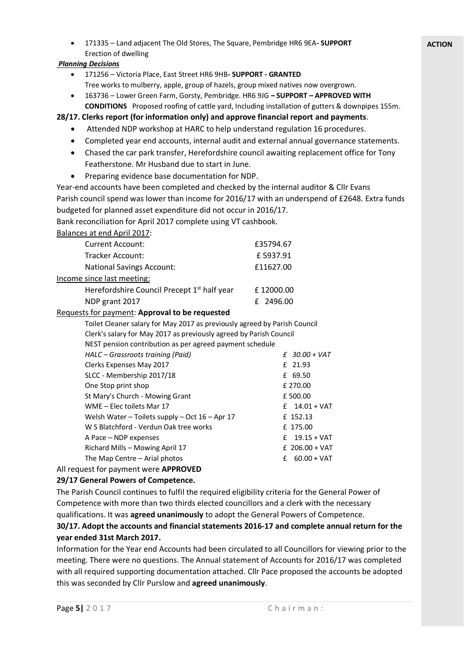### *Planning Decisions*

- 171256 Victoria Place, East Street HR6 9HB**- SUPPORT - GRANTED** Tree works to mulberry, apple, group of hazels, group mixed natives now overgrown.
- 163736 Lower Green Farm, Gorsty, Pembridge. HR6 9JG **– SUPPORT – APPROVED WITH CONDITIONS** Proposed roofing of cattle yard, Including installation of gutters & downpipes 155m.

## **28/17. Clerks report (for information only) and approve financial report and payments**.

- Attended NDP workshop at HARC to help understand regulation 16 procedures.
- Completed year end accounts, internal audit and external annual governance statements.
- Chased the car park transfer, Herefordshire council awaiting replacement office for Tony Featherstone. Mr Husband due to start in June.
- Preparing evidence base documentation for NDP.

Year-end accounts have been completed and checked by the internal auditor & Cllr Evans Parish council spend was lower than income for 2016/17 with an underspend of £2648. Extra funds budgeted for planned asset expenditure did not occur in 2016/17.

Bank reconciliation for April 2017 complete using VT cashbook.

| Balances at end April 2017: |  |  |  |  |
|-----------------------------|--|--|--|--|
|                             |  |  |  |  |

| <b>Current Account:</b>                                 | £35794.67 |
|---------------------------------------------------------|-----------|
| Tracker Account:                                        | £5937.91  |
| <b>National Savings Account:</b>                        | £11627.00 |
| Income since last meeting:                              |           |
| Herefordshire Council Precept 1 <sup>st</sup> half year | £12000.00 |
| NDP grant 2017                                          | £ 2496.00 |
|                                                         |           |

### Requests for payment: **Approval to be requested**

| Toilet Cleaner salary for May 2017 as previously agreed by Parish Council |    |                   |
|---------------------------------------------------------------------------|----|-------------------|
| Clerk's salary for May 2017 as previously agreed by Parish Council        |    |                   |
| NEST pension contribution as per agreed payment schedule                  |    |                   |
| HALC – Grassroots training (Paid)                                         |    | $f$ 30.00 + VAT   |
| Clerks Expenses May 2017                                                  |    | £ 21.93           |
| SLCC - Membership 2017/18                                                 |    | £ 69.50           |
| One Stop print shop                                                       |    | £ 270.00          |
| St Mary's Church - Mowing Grant                                           |    | £ 500.00          |
| WME – Elec toilets Mar 17                                                 |    | $f = 14.01 + VAT$ |
| Welsh Water – Toilets supply – Oct $16$ – Apr 17                          |    | £ 152.13          |
| W S Blatchford - Verdun Oak tree works                                    |    | £ 175.00          |
| A Pace – NDP expenses                                                     | f. | $19.15 + VAT$     |
| Richard Mills - Mowing April 17                                           |    | £ $206.00 + VAT$  |
| The Map Centre – Arial photos                                             | f  | $60.00 + VAT$     |
| $\cdots$ at fax normal $\cdots$ and $\blacksquare$                        |    |                   |

### All request for payment were **APPROVED**

## **29/17 General Powers of Competence.**

The Parish Council continues to fulfil the required eligibility criteria for the General Power of Competence with more than two thirds elected councillors and a clerk with the necessary qualifications. It was **agreed unanimously** to adopt the General Powers of Competence.

# **30/17. Adopt the accounts and financial statements 2016-17 and complete annual return for the year ended 31st March 2017.**

Information for the Year end Accounts had been circulated to all Councillors for viewing prior to the meeting. There were no questions. The Annual statement of Accounts for 2016/17 was completed with all required supporting documentation attached. Cllr Pace proposed the accounts be adopted this was seconded by Cllr Purslow and **agreed unanimously**.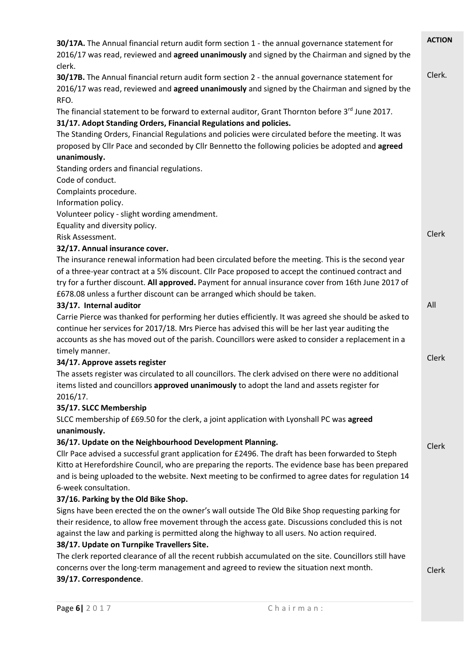| 30/17A. The Annual financial return audit form section 1 - the annual governance statement for<br>2016/17 was read, reviewed and agreed unanimously and signed by the Chairman and signed by the<br>clerk.                                                                                                                                                                                                                                                                                                                                                                                                                                                                                                                                                                   | <b>ACTION</b> |
|------------------------------------------------------------------------------------------------------------------------------------------------------------------------------------------------------------------------------------------------------------------------------------------------------------------------------------------------------------------------------------------------------------------------------------------------------------------------------------------------------------------------------------------------------------------------------------------------------------------------------------------------------------------------------------------------------------------------------------------------------------------------------|---------------|
| 30/17B. The Annual financial return audit form section 2 - the annual governance statement for<br>2016/17 was read, reviewed and agreed unanimously and signed by the Chairman and signed by the<br>RFO.<br>The financial statement to be forward to external auditor, Grant Thornton before 3rd June 2017.<br>31/17. Adopt Standing Orders, Financial Regulations and policies.<br>The Standing Orders, Financial Regulations and policies were circulated before the meeting. It was<br>proposed by Cllr Pace and seconded by Cllr Bennetto the following policies be adopted and agreed<br>unanimously.<br>Standing orders and financial regulations.<br>Code of conduct.<br>Complaints procedure.<br>Information policy.<br>Volunteer policy - slight wording amendment. | Clerk.        |
| Equality and diversity policy.<br>Risk Assessment.                                                                                                                                                                                                                                                                                                                                                                                                                                                                                                                                                                                                                                                                                                                           | Clerk         |
| 32/17. Annual insurance cover.<br>The insurance renewal information had been circulated before the meeting. This is the second year<br>of a three-year contract at a 5% discount. Cllr Pace proposed to accept the continued contract and<br>try for a further discount. All approved. Payment for annual insurance cover from 16th June 2017 of                                                                                                                                                                                                                                                                                                                                                                                                                             |               |
| £678.08 unless a further discount can be arranged which should be taken.<br>33/17. Internal auditor                                                                                                                                                                                                                                                                                                                                                                                                                                                                                                                                                                                                                                                                          | All           |
| Carrie Pierce was thanked for performing her duties efficiently. It was agreed she should be asked to<br>continue her services for 2017/18. Mrs Pierce has advised this will be her last year auditing the<br>accounts as she has moved out of the parish. Councillors were asked to consider a replacement in a                                                                                                                                                                                                                                                                                                                                                                                                                                                             |               |
| timely manner.<br>34/17. Approve assets register                                                                                                                                                                                                                                                                                                                                                                                                                                                                                                                                                                                                                                                                                                                             | Clerk         |
| The assets register was circulated to all councillors. The clerk advised on there were no additional<br>items listed and councillors approved unanimously to adopt the land and assets register for<br>2016/17.                                                                                                                                                                                                                                                                                                                                                                                                                                                                                                                                                              |               |
| 35/17. SLCC Membership<br>SLCC membership of £69.50 for the clerk, a joint application with Lyonshall PC was agreed                                                                                                                                                                                                                                                                                                                                                                                                                                                                                                                                                                                                                                                          |               |
| unanimously.<br>36/17. Update on the Neighbourhood Development Planning.<br>Cllr Pace advised a successful grant application for £2496. The draft has been forwarded to Steph<br>Kitto at Herefordshire Council, who are preparing the reports. The evidence base has been prepared<br>and is being uploaded to the website. Next meeting to be confirmed to agree dates for regulation 14<br>6-week consultation.<br>37/16. Parking by the Old Bike Shop.                                                                                                                                                                                                                                                                                                                   | Clerk         |
| Signs have been erected the on the owner's wall outside The Old Bike Shop requesting parking for<br>their residence, to allow free movement through the access gate. Discussions concluded this is not<br>against the law and parking is permitted along the highway to all users. No action required.<br>38/17. Update on Turnpike Travellers Site.                                                                                                                                                                                                                                                                                                                                                                                                                         |               |
| The clerk reported clearance of all the recent rubbish accumulated on the site. Councillors still have<br>concerns over the long-term management and agreed to review the situation next month.<br>39/17. Correspondence.                                                                                                                                                                                                                                                                                                                                                                                                                                                                                                                                                    | Clerk         |
|                                                                                                                                                                                                                                                                                                                                                                                                                                                                                                                                                                                                                                                                                                                                                                              |               |